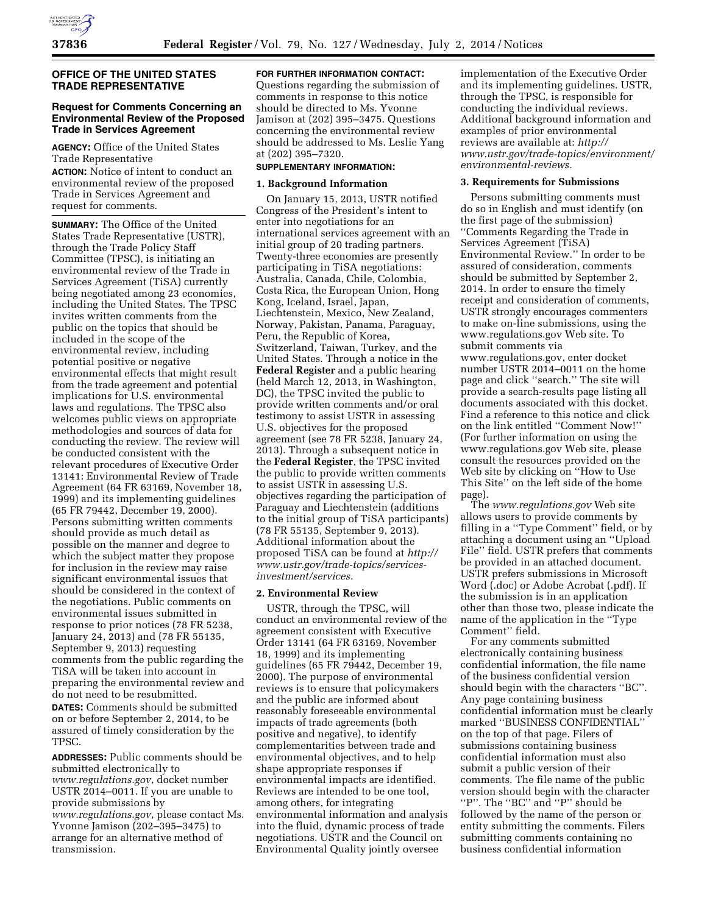# **OFFICE OF THE UNITED STATES TRADE REPRESENTATIVE**

# **Request for Comments Concerning an Environmental Review of the Proposed Trade in Services Agreement**

**AGENCY:** Office of the United States Trade Representative

**ACTION:** Notice of intent to conduct an environmental review of the proposed Trade in Services Agreement and request for comments.

**SUMMARY:** The Office of the United States Trade Representative (USTR), through the Trade Policy Staff Committee (TPSC), is initiating an environmental review of the Trade in Services Agreement (TiSA) currently being negotiated among 23 economies, including the United States. The TPSC invites written comments from the public on the topics that should be included in the scope of the environmental review, including potential positive or negative environmental effects that might result from the trade agreement and potential implications for U.S. environmental laws and regulations. The TPSC also welcomes public views on appropriate methodologies and sources of data for conducting the review. The review will be conducted consistent with the relevant procedures of Executive Order 13141: Environmental Review of Trade Agreement (64 FR 63169, November 18, 1999) and its implementing guidelines (65 FR 79442, December 19, 2000). Persons submitting written comments should provide as much detail as possible on the manner and degree to which the subject matter they propose for inclusion in the review may raise significant environmental issues that should be considered in the context of the negotiations. Public comments on environmental issues submitted in response to prior notices (78 FR 5238, January 24, 2013) and (78 FR 55135, September 9, 2013) requesting comments from the public regarding the TiSA will be taken into account in preparing the environmental review and do not need to be resubmitted. **DATES:** Comments should be submitted

on or before September 2, 2014, to be assured of timely consideration by the TPSC.

**ADDRESSES:** Public comments should be submitted electronically to *[www.regulations.gov](http://www.regulations.gov)*, docket number USTR 2014–0011. If you are unable to provide submissions by *[www.regulations.gov](http://www.regulations.gov)*, please contact Ms. Yvonne Jamison (202–395–3475) to arrange for an alternative method of transmission.

# **FOR FURTHER INFORMATION CONTACT:**

Questions regarding the submission of comments in response to this notice should be directed to Ms. Yvonne Jamison at (202) 395–3475. Questions concerning the environmental review should be addressed to Ms. Leslie Yang at (202) 395–7320.

# **SUPPLEMENTARY INFORMATION:**

#### **1. Background Information**

On January 15, 2013, USTR notified Congress of the President's intent to enter into negotiations for an international services agreement with an initial group of 20 trading partners. Twenty-three economies are presently participating in TiSA negotiations: Australia, Canada, Chile, Colombia, Costa Rica, the European Union, Hong Kong, Iceland, Israel, Japan, Liechtenstein, Mexico, New Zealand, Norway, Pakistan, Panama, Paraguay, Peru, the Republic of Korea, Switzerland, Taiwan, Turkey, and the United States. Through a notice in the **Federal Register** and a public hearing (held March 12, 2013, in Washington, DC), the TPSC invited the public to provide written comments and/or oral testimony to assist USTR in assessing U.S. objectives for the proposed agreement (see 78 FR 5238, January 24, 2013). Through a subsequent notice in the **Federal Register**, the TPSC invited the public to provide written comments to assist USTR in assessing U.S. objectives regarding the participation of Paraguay and Liechtenstein (additions to the initial group of TiSA participants) (78 FR 55135, September 9, 2013). Additional information about the proposed TiSA can be found at *[http://](http://www.ustr.gov/trade-topics/services-investment/services) [www.ustr.gov/trade-topics/services](http://www.ustr.gov/trade-topics/services-investment/services)[investment/services.](http://www.ustr.gov/trade-topics/services-investment/services)* 

# **2. Environmental Review**

USTR, through the TPSC, will conduct an environmental review of the agreement consistent with Executive Order 13141 (64 FR 63169, November 18, 1999) and its implementing guidelines (65 FR 79442, December 19, 2000). The purpose of environmental reviews is to ensure that policymakers and the public are informed about reasonably foreseeable environmental impacts of trade agreements (both positive and negative), to identify complementarities between trade and environmental objectives, and to help shape appropriate responses if environmental impacts are identified. Reviews are intended to be one tool, among others, for integrating environmental information and analysis into the fluid, dynamic process of trade negotiations. USTR and the Council on Environmental Quality jointly oversee

implementation of the Executive Order and its implementing guidelines. USTR, through the TPSC, is responsible for conducting the individual reviews. Additional background information and examples of prior environmental reviews are available at: *[http://](http://www.ustr.gov/trade-topics/environment/environmental-reviews)  [www.ustr.gov/trade-topics/environment/](http://www.ustr.gov/trade-topics/environment/environmental-reviews) [environmental-reviews.](http://www.ustr.gov/trade-topics/environment/environmental-reviews)* 

#### **3. Requirements for Submissions**

Persons submitting comments must do so in English and must identify (on the first page of the submission) ''Comments Regarding the Trade in Services Agreement (TiSA) Environmental Review.'' In order to be assured of consideration, comments should be submitted by September 2, 2014. In order to ensure the timely receipt and consideration of comments, USTR strongly encourages commenters to make on-line submissions, using the [www.regulations.gov](http://www.regulations.gov) Web site. To submit comments via [www.regulations.gov,](http://www.regulations.gov) enter docket number USTR 2014–0011 on the home page and click ''search.'' The site will provide a search-results page listing all documents associated with this docket. Find a reference to this notice and click on the link entitled ''Comment Now!'' (For further information on using the [www.regulations.gov](http://www.regulations.gov) Web site, please consult the resources provided on the Web site by clicking on ''How to Use This Site'' on the left side of the home page).

The *[www.regulations.gov](http://www.regulations.gov)* Web site allows users to provide comments by filling in a "Type Comment" field, or by attaching a document using an ''Upload File'' field. USTR prefers that comments be provided in an attached document. USTR prefers submissions in Microsoft Word (.doc) or Adobe Acrobat (.pdf). If the submission is in an application other than those two, please indicate the name of the application in the ''Type Comment'' field.

For any comments submitted electronically containing business confidential information, the file name of the business confidential version should begin with the characters ''BC''. Any page containing business confidential information must be clearly marked ''BUSINESS CONFIDENTIAL'' on the top of that page. Filers of submissions containing business confidential information must also submit a public version of their comments. The file name of the public version should begin with the character "P". The "BC" and "P" should be followed by the name of the person or entity submitting the comments. Filers submitting comments containing no business confidential information